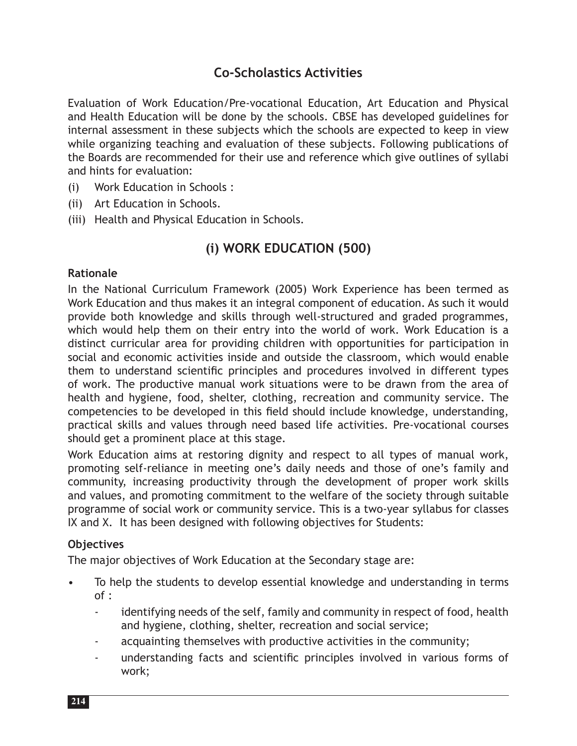# **Co-Scholastics Activities**

Evaluation of Work Education/Pre-vocational Education, Art Education and Physical and Health Education will be done by the schools. CBSE has developed guidelines for internal assessment in these subjects which the schools are expected to keep in view while organizing teaching and evaluation of these subjects. Following publications of the Boards are recommended for their use and reference which give outlines of syllabi and hints for evaluation:

- (i) Work Education in Schools :
- (ii) Art Education in Schools.
- (iii) Health and Physical Education in Schools.

# **(i) WORK EDUCATION (500)**

#### **Rationale**

In the National Curriculum Framework (2005) Work Experience has been termed as Work Education and thus makes it an integral component of education. As such it would provide both knowledge and skills through well-structured and graded programmes, which would help them on their entry into the world of work. Work Education is a distinct curricular area for providing children with opportunities for participation in social and economic activities inside and outside the classroom, which would enable them to understand scientific principles and procedures involved in different types of work. The productive manual work situations were to be drawn from the area of health and hygiene, food, shelter, clothing, recreation and community service. The competencies to be developed in this field should include knowledge, understanding, practical skills and values through need based life activities. Pre-vocational courses should get a prominent place at this stage.

Work Education aims at restoring dignity and respect to all types of manual work, promoting self-reliance in meeting one's daily needs and those of one's family and community, increasing productivity through the development of proper work skills and values, and promoting commitment to the welfare of the society through suitable programme of social work or community service. This is a two-year syllabus for classes IX and X. It has been designed with following objectives for Students:

#### **Objectives**

The major objectives of Work Education at the Secondary stage are:

- To help the students to develop essential knowledge and understanding in terms of :
	- identifying needs of the self, family and community in respect of food, health and hygiene, clothing, shelter, recreation and social service;
	- acquainting themselves with productive activities in the community;
	- understanding facts and scientific principles involved in various forms of work;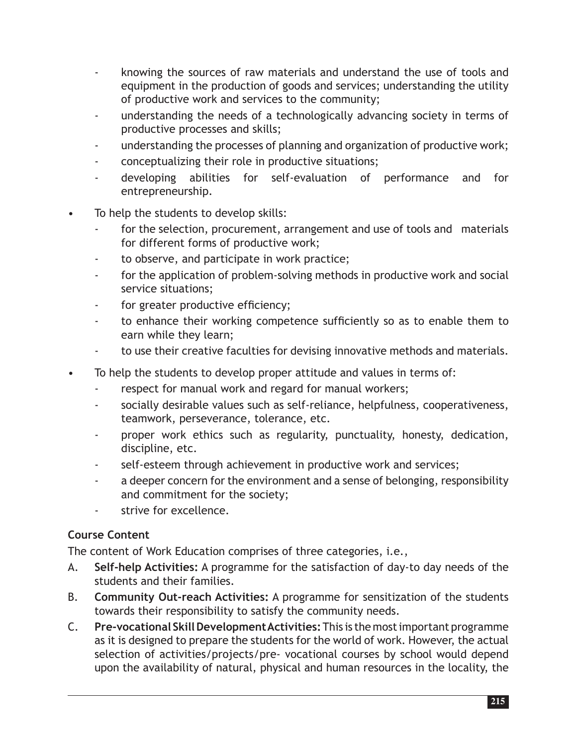- knowing the sources of raw materials and understand the use of tools and equipment in the production of goods and services; understanding the utility of productive work and services to the community;
- understanding the needs of a technologically advancing society in terms of productive processes and skills;
- understanding the processes of planning and organization of productive work;
- conceptualizing their role in productive situations;
- developing abilities for self-evaluation of performance and for entrepreneurship.
- To help the students to develop skills:
	- for the selection, procurement, arrangement and use of tools and materials for different forms of productive work;
	- to observe, and participate in work practice;
	- for the application of problem-solving methods in productive work and social service situations;
	- for greater productive efficiency;
	- to enhance their working competence sufficiently so as to enable them to earn while they learn;
	- to use their creative faculties for devising innovative methods and materials.
- To help the students to develop proper attitude and values in terms of:
	- respect for manual work and regard for manual workers;
	- socially desirable values such as self-reliance, helpfulness, cooperativeness, teamwork, perseverance, tolerance, etc.
	- proper work ethics such as regularity, punctuality, honesty, dedication, discipline, etc.
	- self-esteem through achievement in productive work and services;
	- a deeper concern for the environment and a sense of belonging, responsibility and commitment for the society;
	- strive for excellence.

## **Course Content**

The content of Work Education comprises of three categories, i.e.,

- A. **Self-help Activities:** A programme for the satisfaction of day-to day needs of the students and their families.
- B. **Community Out-reach Activities:** A programme for sensitization of the students towards their responsibility to satisfy the community needs.
- C. **Pre-vocational Skill Development Activities:** This is the most important programme as it is designed to prepare the students for the world of work. However, the actual selection of activities/projects/pre- vocational courses by school would depend upon the availability of natural, physical and human resources in the locality, the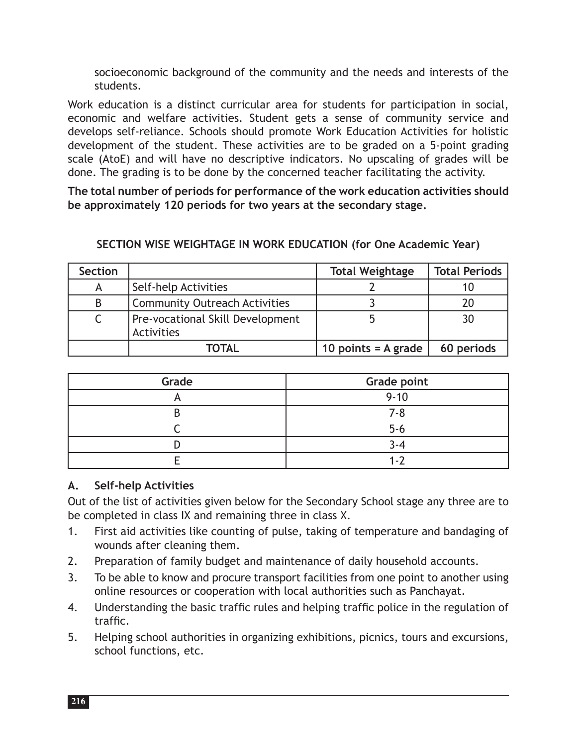socioeconomic background of the community and the needs and interests of the students.

Work education is a distinct curricular area for students for participation in social, economic and welfare activities. Student gets a sense of community service and develops self-reliance. Schools should promote Work Education Activities for holistic development of the student. These activities are to be graded on a 5-point grading scale (AtoE) and will have no descriptive indicators. No upscaling of grades will be done. The grading is to be done by the concerned teacher facilitating the activity.

**The total number of periods for performance of the work education activities should be approximately 120 periods for two years at the secondary stage.**

## **SECTION WISE WEIGHTAGE IN WORK EDUCATION (for One Academic Year)**

| <b>Section</b> |                                                | <b>Total Weightage</b> | <b>Total Periods</b> |
|----------------|------------------------------------------------|------------------------|----------------------|
| A              | Self-help Activities                           |                        |                      |
| B              | <b>Community Outreach Activities</b>           |                        | 20                   |
|                | Pre-vocational Skill Development<br>Activities |                        | 30                   |
|                | TOTAL                                          | 10 points $=$ A grade  | 60 periods           |

| Grade | <b>Grade point</b> |
|-------|--------------------|
|       | $9 - 10$           |
|       | 7-8                |
|       | $5 - 6$            |
|       | 4−4                |
|       |                    |

## **A. Self-help Activities**

Out of the list of activities given below for the Secondary School stage any three are to be completed in class IX and remaining three in class X.

- 1. First aid activities like counting of pulse, taking of temperature and bandaging of wounds after cleaning them.
- 2. Preparation of family budget and maintenance of daily household accounts.
- 3. To be able to know and procure transport facilities from one point to another using online resources or cooperation with local authorities such as Panchayat.
- 4. Understanding the basic traffic rules and helping traffic police in the regulation of traffic.
- 5. Helping school authorities in organizing exhibitions, picnics, tours and excursions, school functions, etc.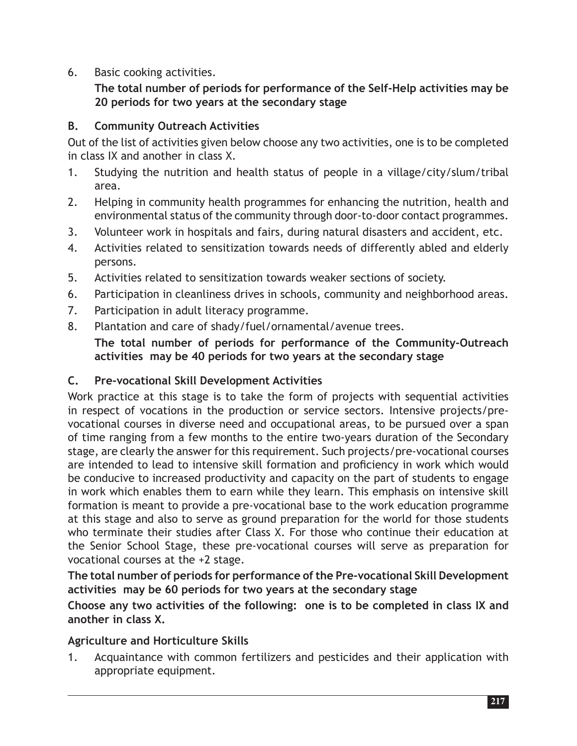6. Basic cooking activities.

**The total number of periods for performance of the Self-Help activities may be 20 periods for two years at the secondary stage**

## **B. Community Outreach Activities**

Out of the list of activities given below choose any two activities, one is to be completed in class IX and another in class X.

- 1. Studying the nutrition and health status of people in a village/city/slum/tribal area.
- 2. Helping in community health programmes for enhancing the nutrition, health and environmental status of the community through door-to-door contact programmes.
- 3. Volunteer work in hospitals and fairs, during natural disasters and accident, etc.
- 4. Activities related to sensitization towards needs of differently abled and elderly persons.
- 5. Activities related to sensitization towards weaker sections of society.
- 6. Participation in cleanliness drives in schools, community and neighborhood areas.
- 7. Participation in adult literacy programme.
- 8. Plantation and care of shady/fuel/ornamental/avenue trees.

**The total number of periods for performance of the Community-Outreach activities may be 40 periods for two years at the secondary stage**

## **C. Pre-vocational Skill Development Activities**

Work practice at this stage is to take the form of projects with sequential activities in respect of vocations in the production or service sectors. Intensive projects/prevocational courses in diverse need and occupational areas, to be pursued over a span of time ranging from a few months to the entire two-years duration of the Secondary stage, are clearly the answer for this requirement. Such projects/pre-vocational courses are intended to lead to intensive skill formation and proficiency in work which would be conducive to increased productivity and capacity on the part of students to engage in work which enables them to earn while they learn. This emphasis on intensive skill formation is meant to provide a pre-vocational base to the work education programme at this stage and also to serve as ground preparation for the world for those students who terminate their studies after Class X. For those who continue their education at the Senior School Stage, these pre-vocational courses will serve as preparation for vocational courses at the +2 stage.

**The total number of periods for performance of the Pre-vocational Skill Development activities may be 60 periods for two years at the secondary stage**

**Choose any two activities of the following: one is to be completed in class IX and another in class X.** 

## **Agriculture and Horticulture Skills**

1. Acquaintance with common fertilizers and pesticides and their application with appropriate equipment.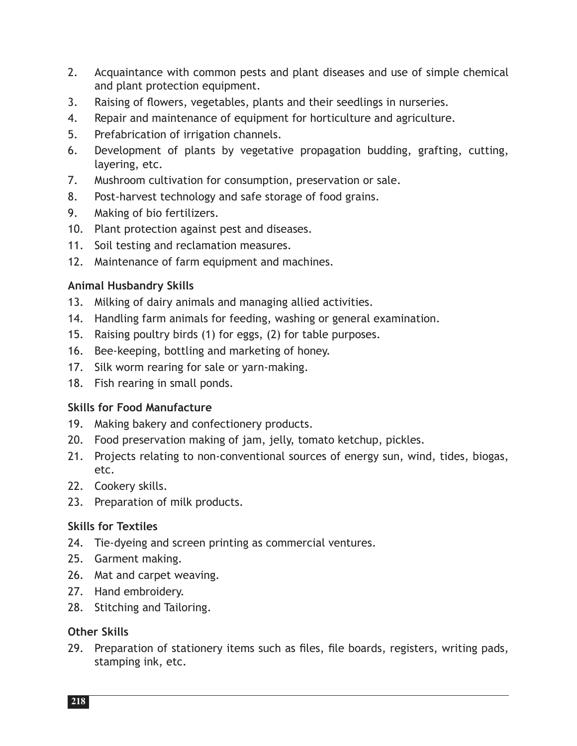- 2. Acquaintance with common pests and plant diseases and use of simple chemical and plant protection equipment.
- 3. Raising of flowers, vegetables, plants and their seedlings in nurseries.
- 4. Repair and maintenance of equipment for horticulture and agriculture.
- 5. Prefabrication of irrigation channels.
- 6. Development of plants by vegetative propagation budding, grafting, cutting, layering, etc.
- 7. Mushroom cultivation for consumption, preservation or sale.
- 8. Post-harvest technology and safe storage of food grains.
- 9. Making of bio fertilizers.
- 10. Plant protection against pest and diseases.
- 11. Soil testing and reclamation measures.
- 12. Maintenance of farm equipment and machines.

#### **Animal Husbandry Skills**

- 13. Milking of dairy animals and managing allied activities.
- 14. Handling farm animals for feeding, washing or general examination.
- 15. Raising poultry birds (1) for eggs, (2) for table purposes.
- 16. Bee-keeping, bottling and marketing of honey.
- 17. Silk worm rearing for sale or yarn-making.
- 18. Fish rearing in small ponds.

#### **Skills for Food Manufacture**

- 19. Making bakery and confectionery products.
- 20. Food preservation making of jam, jelly, tomato ketchup, pickles.
- 21. Projects relating to non-conventional sources of energy sun, wind, tides, biogas, etc.
- 22. Cookery skills.
- 23. Preparation of milk products.

#### **Skills for Textiles**

- 24. Tie-dyeing and screen printing as commercial ventures.
- 25. Garment making.
- 26. Mat and carpet weaving.
- 27. Hand embroidery.
- 28. Stitching and Tailoring.

#### **Other Skills**

29. Preparation of stationery items such as files, file boards, registers, writing pads, stamping ink, etc.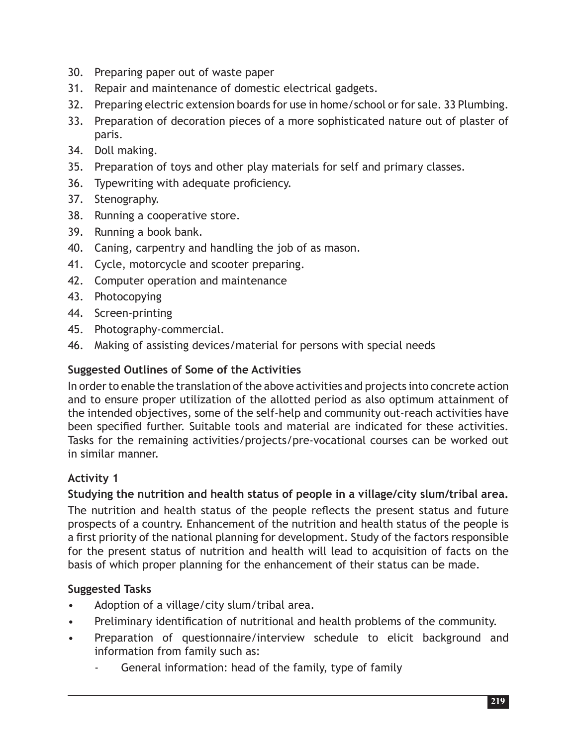- 30. Preparing paper out of waste paper
- 31. Repair and maintenance of domestic electrical gadgets.
- 32. Preparing electric extension boards for use in home/school or for sale. 33 Plumbing.
- 33. Preparation of decoration pieces of a more sophisticated nature out of plaster of paris.
- 34. Doll making.
- 35. Preparation of toys and other play materials for self and primary classes.
- 36. Typewriting with adequate proficiency.
- 37. Stenography.
- 38. Running a cooperative store.
- 39. Running a book bank.
- 40. Caning, carpentry and handling the job of as mason.
- 41. Cycle, motorcycle and scooter preparing.
- 42. Computer operation and maintenance
- 43. Photocopying
- 44. Screen-printing
- 45. Photography-commercial.
- 46. Making of assisting devices/material for persons with special needs

## **Suggested Outlines of Some of the Activities**

In order to enable the translation of the above activities and projects into concrete action and to ensure proper utilization of the allotted period as also optimum attainment of the intended objectives, some of the self-help and community out-reach activities have been specified further. Suitable tools and material are indicated for these activities. Tasks for the remaining activities/projects/pre-vocational courses can be worked out in similar manner.

## **Activity 1**

## **Studying the nutrition and health status of people in a village/city slum/tribal area.**

The nutrition and health status of the people reflects the present status and future prospects of a country. Enhancement of the nutrition and health status of the people is a first priority of the national planning for development. Study of the factors responsible for the present status of nutrition and health will lead to acquisition of facts on the basis of which proper planning for the enhancement of their status can be made.

- Adoption of a village/city slum/tribal area.
- Preliminary identification of nutritional and health problems of the community.
- Preparation of questionnaire/interview schedule to elicit background and information from family such as:
	- General information: head of the family, type of family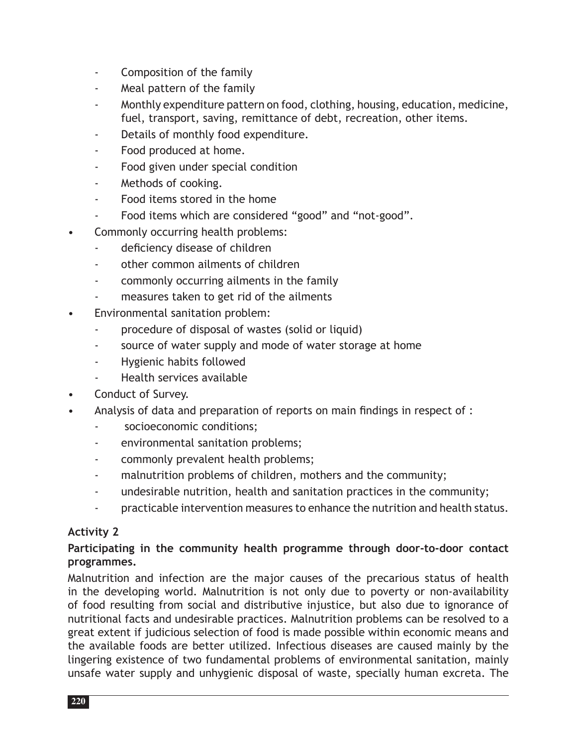- Composition of the family
- Meal pattern of the family
- Monthly expenditure pattern on food, clothing, housing, education, medicine, fuel, transport, saving, remittance of debt, recreation, other items.
- Details of monthly food expenditure.
- Food produced at home.
- Food given under special condition
- Methods of cooking.
- Food items stored in the home
- Food items which are considered "good" and "not-good".
- Commonly occurring health problems:
	- deficiency disease of children
	- other common ailments of children
	- commonly occurring ailments in the family
	- measures taken to get rid of the ailments
- Environmental sanitation problem:
	- procedure of disposal of wastes (solid or liquid)
	- source of water supply and mode of water storage at home
	- Hygienic habits followed
	- Health services available
- Conduct of Survey.
- Analysis of data and preparation of reports on main findings in respect of :
	- socioeconomic conditions;
	- environmental sanitation problems;
	- commonly prevalent health problems;
	- malnutrition problems of children, mothers and the community;
	- undesirable nutrition, health and sanitation practices in the community;
	- practicable intervention measures to enhance the nutrition and health status.

## **Activity 2**

## **Participating in the community health programme through door-to-door contact programmes.**

Malnutrition and infection are the major causes of the precarious status of health in the developing world. Malnutrition is not only due to poverty or non-availability of food resulting from social and distributive injustice, but also due to ignorance of nutritional facts and undesirable practices. Malnutrition problems can be resolved to a great extent if judicious selection of food is made possible within economic means and the available foods are better utilized. Infectious diseases are caused mainly by the lingering existence of two fundamental problems of environmental sanitation, mainly unsafe water supply and unhygienic disposal of waste, specially human excreta. The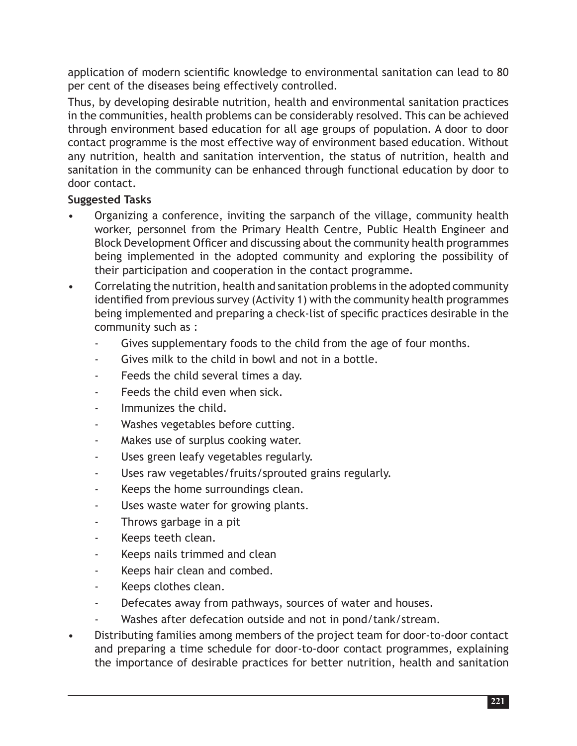application of modern scientific knowledge to environmental sanitation can lead to 80 per cent of the diseases being effectively controlled.

Thus, by developing desirable nutrition, health and environmental sanitation practices in the communities, health problems can be considerably resolved. This can be achieved through environment based education for all age groups of population. A door to door contact programme is the most effective way of environment based education. Without any nutrition, health and sanitation intervention, the status of nutrition, health and sanitation in the community can be enhanced through functional education by door to door contact.

- Organizing a conference, inviting the sarpanch of the village, community health worker, personnel from the Primary Health Centre, Public Health Engineer and Block Development Officer and discussing about the community health programmes being implemented in the adopted community and exploring the possibility of their participation and cooperation in the contact programme.
- Correlating the nutrition, health and sanitation problems in the adopted community identified from previous survey (Activity 1) with the community health programmes being implemented and preparing a check-list of specific practices desirable in the community such as :
	- Gives supplementary foods to the child from the age of four months.
	- Gives milk to the child in bowl and not in a bottle.
	- Feeds the child several times a day.
	- Feeds the child even when sick.
	- Immunizes the child.
	- Washes vegetables before cutting.
	- Makes use of surplus cooking water.
	- Uses green leafy vegetables regularly.
	- Uses raw vegetables/fruits/sprouted grains regularly.
	- Keeps the home surroundings clean.
	- Uses waste water for growing plants.
	- Throws garbage in a pit
	- Keeps teeth clean.
	- Keeps nails trimmed and clean
	- Keeps hair clean and combed.
	- Keeps clothes clean.
	- Defecates away from pathways, sources of water and houses.
	- Washes after defecation outside and not in pond/tank/stream.
- Distributing families among members of the project team for door-to-door contact and preparing a time schedule for door-to-door contact programmes, explaining the importance of desirable practices for better nutrition, health and sanitation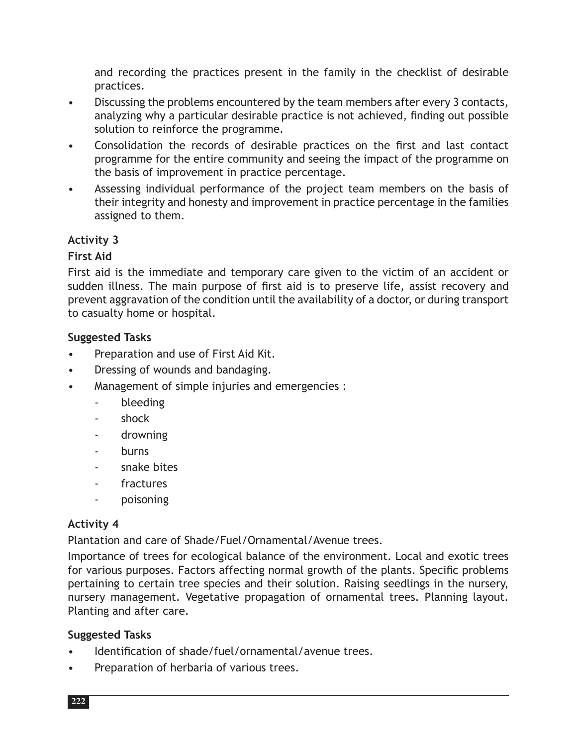and recording the practices present in the family in the checklist of desirable practices.

- Discussing the problems encountered by the team members after every 3 contacts, analyzing why a particular desirable practice is not achieved, finding out possible solution to reinforce the programme.
- Consolidation the records of desirable practices on the first and last contact programme for the entire community and seeing the impact of the programme on the basis of improvement in practice percentage.
- Assessing individual performance of the project team members on the basis of their integrity and honesty and improvement in practice percentage in the families assigned to them.

## **Activity 3**

#### **First Aid**

First aid is the immediate and temporary care given to the victim of an accident or sudden illness. The main purpose of first aid is to preserve life, assist recovery and prevent aggravation of the condition until the availability of a doctor, or during transport to casualty home or hospital.

#### **Suggested Tasks**

- Preparation and use of First Aid Kit.
- Dressing of wounds and bandaging.
- Management of simple injuries and emergencies :
	- bleeding
	- shock
	- drowning
	- burns
	- snake bites
	- fractures
	- poisoning

#### **Activity 4**

Plantation and care of Shade/Fuel/Ornamental/Avenue trees.

Importance of trees for ecological balance of the environment. Local and exotic trees for various purposes. Factors affecting normal growth of the plants. Specific problems pertaining to certain tree species and their solution. Raising seedlings in the nursery, nursery management. Vegetative propagation of ornamental trees. Planning layout. Planting and after care.

- Identification of shade/fuel/ornamental/avenue trees.
- Preparation of herbaria of various trees.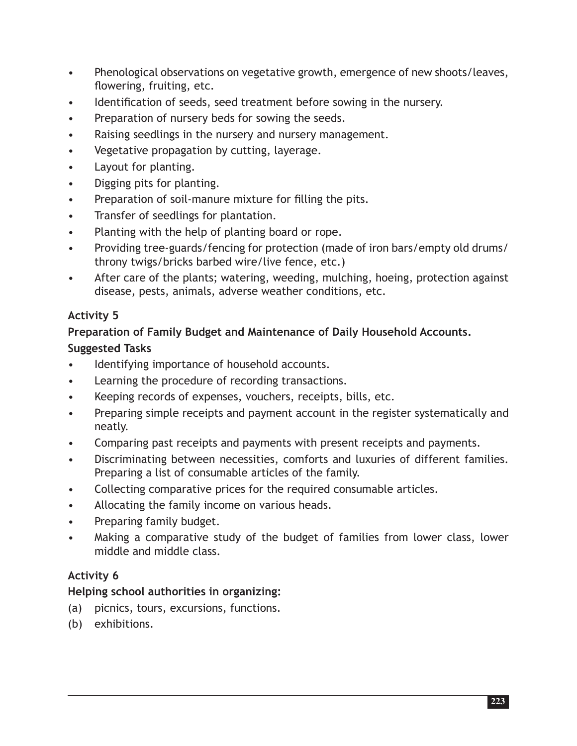- Phenological observations on vegetative growth, emergence of new shoots/leaves, flowering, fruiting, etc.
- Identification of seeds, seed treatment before sowing in the nursery.
- Preparation of nursery beds for sowing the seeds.
- Raising seedlings in the nursery and nursery management.
- Vegetative propagation by cutting, layerage.
- Layout for planting.
- Digging pits for planting.
- Preparation of soil-manure mixture for filling the pits.
- Transfer of seedlings for plantation.
- Planting with the help of planting board or rope.
- Providing tree-guards/fencing for protection (made of iron bars/empty old drums/ throny twigs/bricks barbed wire/live fence, etc.)
- After care of the plants; watering, weeding, mulching, hoeing, protection against disease, pests, animals, adverse weather conditions, etc.

## **Activity 5**

## **Preparation of Family Budget and Maintenance of Daily Household Accounts.**

## **Suggested Tasks**

- Identifying importance of household accounts.
- Learning the procedure of recording transactions.
- Keeping records of expenses, vouchers, receipts, bills, etc.
- Preparing simple receipts and payment account in the register systematically and neatly.
- Comparing past receipts and payments with present receipts and payments.
- Discriminating between necessities, comforts and luxuries of different families. Preparing a list of consumable articles of the family.
- Collecting comparative prices for the required consumable articles.
- Allocating the family income on various heads.
- Preparing family budget.
- Making a comparative study of the budget of families from lower class, lower middle and middle class.

## **Activity 6**

## **Helping school authorities in organizing:**

- (a) picnics, tours, excursions, functions.
- (b) exhibitions.